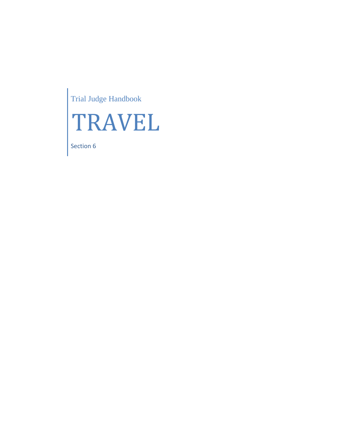Trial Judge Handbook



Section 6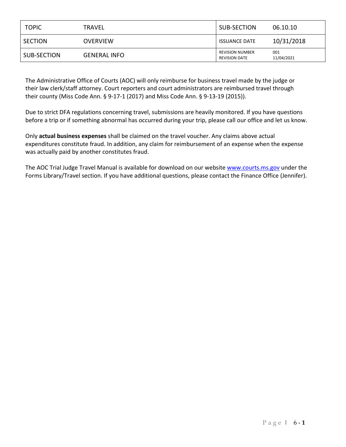| <b>TOPIC</b>   | TRAVEL              | SUB-SECTION                                    | 06.10.10          |
|----------------|---------------------|------------------------------------------------|-------------------|
| <b>SECTION</b> | OVERVIEW            | <b>ISSUANCE DATE</b>                           | 10/31/2018        |
| SUB-SECTION    | <b>GENERAL INFO</b> | <b>REVISION NUMBER</b><br><b>REVISION DATE</b> | 001<br>11/04/2021 |

The Administrative Office of Courts (AOC) will only reimburse for business travel made by the judge or their law clerk/staff attorney. Court reporters and court administrators are reimbursed travel through their county (Miss Code Ann. § 9-17-1 (2017) and Miss Code Ann. § 9-13-19 (2015)).

Due to strict DFA regulations concerning travel, submissions are heavily monitored. If you have questions before a trip or if something abnormal has occurred during your trip, please call our office and let us know.

Only **actual business expenses** shall be claimed on the travel voucher. Any claims above actual expenditures constitute fraud. In addition, any claim for reimbursement of an expense when the expense was actually paid by another constitutes fraud.

The AOC Trial Judge Travel Manual is available for download on our website [www.courts.ms.gov](http://www.courts.ms.gov/) under the Forms Library/Travel section. If you have additional questions, please contact the Finance Office (Jennifer).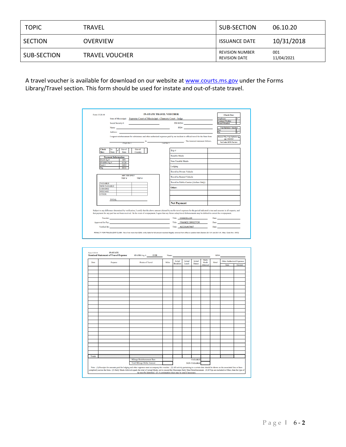| <b>TOPIC</b> | TRAVEL                | SUB-SECTION                                    | 06.10.20          |
|--------------|-----------------------|------------------------------------------------|-------------------|
| SECTION      | <b>OVERVIEW</b>       | <b>ISSUANCE DATE</b>                           | 10/31/2018        |
| SUB-SECTION  | <b>TRAVEL VOUCHER</b> | <b>REVISION NUMBER</b><br><b>REVISION DATE</b> | 001<br>11/04/2021 |

A travel voucher is available for download on our website at [www.courts.ms.gov](http://www.courts.ms.gov/) under the Forms Library/Travel section. This form should be used for instate and out-of-state travel.

| Form 13.20.10                    |                                                                                                                                                                                                                                     | <b>IN-STATE TRAVEL VOUCHER</b>                                                                                                                                                                                                                                                                                                                                             | <b>Check One:</b>                                                                                                                                                                                                              |
|----------------------------------|-------------------------------------------------------------------------------------------------------------------------------------------------------------------------------------------------------------------------------------|----------------------------------------------------------------------------------------------------------------------------------------------------------------------------------------------------------------------------------------------------------------------------------------------------------------------------------------------------------------------------|--------------------------------------------------------------------------------------------------------------------------------------------------------------------------------------------------------------------------------|
|                                  |                                                                                                                                                                                                                                     | State of Mississippi: Supreme Court of Mississippi - Chancery Court - Judge                                                                                                                                                                                                                                                                                                | ✓<br>Employee                                                                                                                                                                                                                  |
|                                  | Social Security #: The Contract of the Contract of the Contract of the Contract of the Contract of the Contract of the Contract of the Contract of the Contract of the Contract of the Contract of the Contract of the Contrac      | PIN/WIN#: The contract of the contract of the contract of the contract of the contract of the contract of the contract of the contract of the contract of the contract of the contract of the contract of the contract of the                                                                                                                                              | <b>Contract Worker</b><br><b>Board Member</b>                                                                                                                                                                                  |
|                                  | Name: Name: Name: Name: Name: Name: Name: Name: Name: Name: Name: Name: Name: Name: Name: Name: Name: Name: Name: Name: Name: Name: Name: Name: Name: Name: Name: Name: Name: Name: Name: Name: Name: Name: Name: Name: Name:       | PID#: https://www.archive.com/communications/                                                                                                                                                                                                                                                                                                                              | <b>Trip Optimizer Attached</b>                                                                                                                                                                                                 |
|                                  | Address: and the contract of the contract of the contract of the contract of the contract of the contract of the contract of the contract of the contract of the contract of the contract of the contract of the contract of t      |                                                                                                                                                                                                                                                                                                                                                                            | Yes<br>No<br>ᢦ                                                                                                                                                                                                                 |
|                                  |                                                                                                                                                                                                                                     | I request reimbursement for subsistence and other authorized expenses paid by me incident to official travel for the State from                                                                                                                                                                                                                                            | <b>Reason Why Trip Optimizer is</b><br>not Attached                                                                                                                                                                            |
|                                  | (begin date)                                                                                                                                                                                                                        | $\frac{1}{2}$ to $\frac{1}{2}$ (end date ). The itemized statement follows.                                                                                                                                                                                                                                                                                                | <b>Not Under REM Purview</b>                                                                                                                                                                                                   |
| <b>Check</b><br>Box:             | Out-of-<br>In-<br>$Out-of-$<br><b>State</b><br><b>State</b><br>Country                                                                                                                                                              | Trip#                                                                                                                                                                                                                                                                                                                                                                      |                                                                                                                                                                                                                                |
|                                  | <b>Payment Information</b>                                                                                                                                                                                                          | <b>Taxable Meals</b>                                                                                                                                                                                                                                                                                                                                                       |                                                                                                                                                                                                                                |
| SAAS Ag#<br>SPAHRS Ag #          | 051<br>0128                                                                                                                                                                                                                         | Non-Taxable Meals                                                                                                                                                                                                                                                                                                                                                          |                                                                                                                                                                                                                                |
| Fund#<br>Org                     | 2053<br>4011                                                                                                                                                                                                                        | Lodging                                                                                                                                                                                                                                                                                                                                                                    |                                                                                                                                                                                                                                |
|                                  |                                                                                                                                                                                                                                     | <b>Travel in Private Vehicle</b>                                                                                                                                                                                                                                                                                                                                           |                                                                                                                                                                                                                                |
|                                  | <b>AOCUSE ONLY</b><br><b>TRIP#</b><br>TRIP #                                                                                                                                                                                        | <b>Travel in Rented Vehicle</b>                                                                                                                                                                                                                                                                                                                                            |                                                                                                                                                                                                                                |
| <b>TAXABLE</b>                   |                                                                                                                                                                                                                                     | Travel in Public Carrier (Airfare Only)                                                                                                                                                                                                                                                                                                                                    |                                                                                                                                                                                                                                |
| <b>NON-TAXABLE</b>               |                                                                                                                                                                                                                                     | Other:                                                                                                                                                                                                                                                                                                                                                                     |                                                                                                                                                                                                                                |
| <b>LODGING</b><br><b>MILEAGE</b> |                                                                                                                                                                                                                                     |                                                                                                                                                                                                                                                                                                                                                                            |                                                                                                                                                                                                                                |
| <b>OTHER</b>                     |                                                                                                                                                                                                                                     |                                                                                                                                                                                                                                                                                                                                                                            |                                                                                                                                                                                                                                |
|                                  | <b>TOTAL <i>CONSTRUCTER</i></b>                                                                                                                                                                                                     |                                                                                                                                                                                                                                                                                                                                                                            |                                                                                                                                                                                                                                |
|                                  |                                                                                                                                                                                                                                     | <b>Net Payment</b>                                                                                                                                                                                                                                                                                                                                                         |                                                                                                                                                                                                                                |
|                                  |                                                                                                                                                                                                                                     | Subject to any difference determined by verification, I certify that the above amount claimed by me for travel expenses for the period indicated is true and accurate in all respects, and<br>that payment for any part has not been received. In the event of overpayment, I agree that any future salary/travel disbursements may be debited to correct the overpayment. |                                                                                                                                                                                                                                |
|                                  | Traveler: Traveler: The contract of the contract of the contract of the contract of the contract of the contract of the contract of the contract of the contract of the contract of the contract of the contract of the contra      | Title: CHANCELLOR                                                                                                                                                                                                                                                                                                                                                          | Date: http://www.com/communications/                                                                                                                                                                                           |
|                                  | Approved for Pay: Approved for Pay: All and the Contract of the Contract of the Contract of the Contract of the Contract of the Contract of the Contract of the Contract of the Contract of the Contract of the Contract of th      | Title: FINANCE DIRECTOR                                                                                                                                                                                                                                                                                                                                                    | Date: New York Date:                                                                                                                                                                                                           |
|                                  | <b>Verified By:</b> The contract of the contract of the contract of the contract of the contract of the contract of the contract of the contract of the contract of the contract of the contract of the contract of the contract of | Title: ACCOUNTANT                                                                                                                                                                                                                                                                                                                                                          | Date: The contract of the contract of the contract of the contract of the contract of the contract of the contract of the contract of the contract of the contract of the contract of the contract of the contract of the cont |

| Date          | Purpose | <b>Points of Travel</b>            | <b>Miles</b> | Actual<br><b>Breakfast</b> | Actual<br>Lunch | Actual<br><b>Dinner</b> | Daily<br>Meals | Hotel | <b>Other Authorized Expenses</b> |        |
|---------------|---------|------------------------------------|--------------|----------------------------|-----------------|-------------------------|----------------|-------|----------------------------------|--------|
|               |         |                                    |              |                            |                 |                         | Allowed        |       | Item                             | Amount |
|               |         |                                    |              |                            |                 |                         |                |       |                                  |        |
|               |         |                                    |              |                            |                 |                         |                |       |                                  |        |
|               |         |                                    |              |                            |                 |                         |                |       |                                  |        |
|               |         |                                    |              |                            |                 |                         |                |       |                                  |        |
|               |         |                                    |              |                            |                 |                         |                |       |                                  |        |
|               |         |                                    |              |                            |                 |                         |                |       |                                  |        |
|               |         |                                    |              |                            |                 |                         |                |       |                                  |        |
|               |         |                                    |              |                            |                 |                         |                |       |                                  |        |
|               |         |                                    |              |                            |                 |                         |                |       |                                  |        |
|               |         |                                    |              |                            |                 |                         |                |       |                                  |        |
|               |         |                                    |              |                            |                 |                         |                |       |                                  |        |
|               |         |                                    |              |                            |                 |                         |                |       |                                  |        |
|               |         |                                    |              |                            |                 |                         |                |       |                                  |        |
|               |         |                                    |              |                            |                 |                         |                |       |                                  |        |
|               |         |                                    |              |                            |                 |                         |                |       |                                  |        |
|               |         |                                    |              |                            |                 |                         |                |       |                                  |        |
|               |         |                                    |              |                            |                 |                         |                |       |                                  |        |
|               |         |                                    |              |                            |                 |                         |                |       |                                  |        |
|               |         |                                    |              |                            |                 |                         |                |       |                                  |        |
|               |         |                                    |              |                            |                 |                         |                |       |                                  |        |
|               |         |                                    |              |                            |                 |                         |                |       |                                  |        |
|               |         |                                    |              |                            |                 |                         |                |       |                                  |        |
|               |         |                                    |              |                            |                 |                         |                |       |                                  |        |
|               |         |                                    |              |                            |                 |                         |                |       |                                  |        |
|               |         |                                    |              |                            |                 |                         |                |       |                                  |        |
| <b>Totals</b> |         |                                    |              |                            |                 |                         |                |       |                                  |        |
|               |         | Mileage Reimbursement Rate         |              |                            |                 | <b>TAXABLE</b>          |                |       |                                  |        |
|               |         | <b>Total Mileage Dollar Amount</b> |              |                            |                 | <b>NON-TAXABLE</b>      |                |       |                                  |        |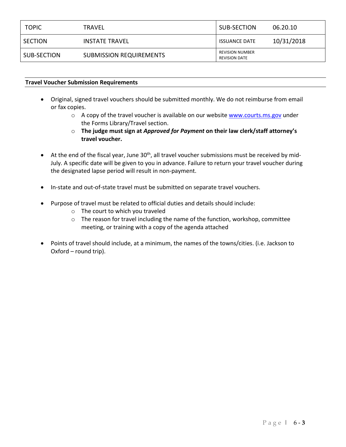| <b>TOPIC</b> | TRAVEL                         | SUB-SECTION                             | 06.20.10   |
|--------------|--------------------------------|-----------------------------------------|------------|
| SECTION      | INSTATE TRAVEL                 | <b>ISSUANCE DATE</b>                    | 10/31/2018 |
| SUB-SECTION  | <b>SUBMISSION REQUIREMENTS</b> | REVISION NUMBER<br><b>REVISION DATE</b> |            |

## **Travel Voucher Submission Requirements**

- Original, signed travel vouchers should be submitted monthly. We do not reimburse from email or fax copies.
	- o A copy of the travel voucher is available on our website [www.courts.ms.gov](http://www.courts.ms.gov/) under the Forms Library/Travel section.
	- o **The judge must sign at** *Approved for Payment* **on their law clerk/staff attorney's travel voucher.**
- $\bullet$  At the end of the fiscal year, June 30<sup>th</sup>, all travel voucher submissions must be received by mid-July. A specific date will be given to you in advance. Failure to return your travel voucher during the designated lapse period will result in non-payment.
- In-state and out-of-state travel must be submitted on separate travel vouchers.
- Purpose of travel must be related to official duties and details should include:
	- o The court to which you traveled
	- o The reason for travel including the name of the function, workshop, committee meeting, or training with a copy of the agenda attached
- Points of travel should include, at a minimum, the names of the towns/cities. (i.e. Jackson to Oxford – round trip).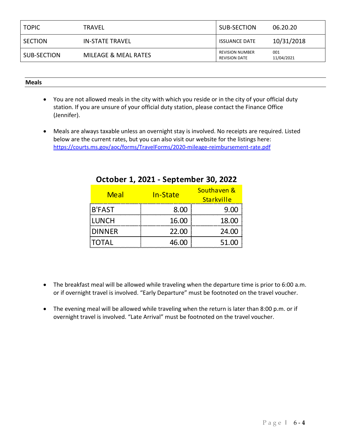| <b>TOPIC</b> | TRAVEL                 | SUB-SECTION                                    | 06.20.20          |
|--------------|------------------------|------------------------------------------------|-------------------|
| SECTION      | <b>IN-STATE TRAVEL</b> | <b>ISSUANCE DATE</b>                           | 10/31/2018        |
| SUB-SECTION  | MILEAGE & MEAL RATES   | <b>REVISION NUMBER</b><br><b>REVISION DATE</b> | 001<br>11/04/2021 |

## **Meals**

- You are not allowed meals in the city with which you reside or in the city of your official duty station. If you are unsure of your official duty station, please contact the Finance Office (Jennifer).
- Meals are always taxable unless an overnight stay is involved. No receipts are required. Listed below are the current rates, but you can also visit our website for the listings here: <https://courts.ms.gov/aoc/forms/TravelForms/2020-mileage-reimbursement-rate.pdf>

| <b>Meal</b>   | In-State | Southaven &<br>Starkville |
|---------------|----------|---------------------------|
| <b>B'FAST</b> | 8.00     | 9.00                      |
| <b>LUNCH</b>  | 16.00    | 18.00                     |
| <b>DINNER</b> | 22.00    | 24.00                     |
| <b>TOTAL</b>  | 46.00    | 51.00                     |

# **October 1, 2021 - September 30, 2022**

- The breakfast meal will be allowed while traveling when the departure time is prior to 6:00 a.m. or if overnight travel is involved. "Early Departure" must be footnoted on the travel voucher.
- The evening meal will be allowed while traveling when the return is later than 8:00 p.m. or if overnight travel is involved. "Late Arrival" must be footnoted on the travel voucher.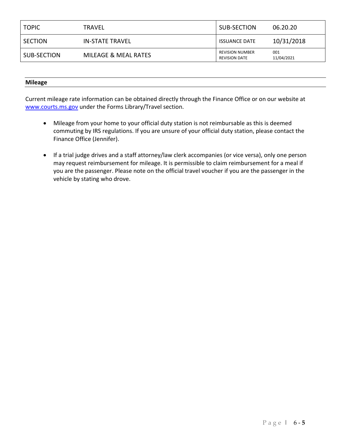| <b>TOPIC</b> | TRAVEL               | SUB-SECTION                                    | 06.20.20          |
|--------------|----------------------|------------------------------------------------|-------------------|
| SECTION      | IN-STATE TRAVEL      | <b>ISSUANCE DATE</b>                           | 10/31/2018        |
| SUB-SECTION  | MILEAGE & MEAL RATES | <b>REVISION NUMBER</b><br><b>REVISION DATE</b> | 001<br>11/04/2021 |

#### **Mileage**

Current mileage rate information can be obtained directly through the Finance Office or on our website at [www.courts.ms.gov](http://www.courts.ms.gov/) under the Forms Library/Travel section.

- Mileage from your home to your official duty station is not reimbursable as this is deemed commuting by IRS regulations. If you are unsure of your official duty station, please contact the Finance Office (Jennifer).
- If a trial judge drives and a staff attorney/law clerk accompanies (or vice versa), only one person may request reimbursement for mileage. It is permissible to claim reimbursement for a meal if you are the passenger. Please note on the official travel voucher if you are the passenger in the vehicle by stating who drove.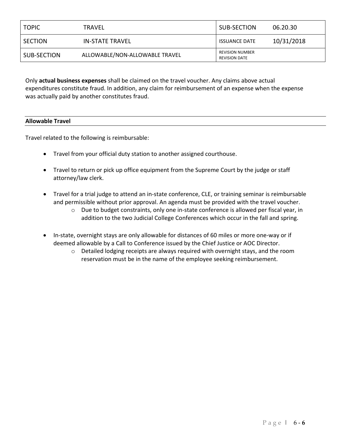| <b>TOPIC</b> | <b>TRAVEL</b>                  | SUB-SECTION                                    | 06.20.30   |
|--------------|--------------------------------|------------------------------------------------|------------|
| SECTION      | IN-STATE TRAVEL                | <b>ISSUANCE DATE</b>                           | 10/31/2018 |
| SUB-SECTION  | ALLOWABLE/NON-ALLOWABLE TRAVEL | <b>REVISION NUMBER</b><br><b>REVISION DATE</b> |            |

Only **actual business expenses** shall be claimed on the travel voucher. Any claims above actual expenditures constitute fraud. In addition, any claim for reimbursement of an expense when the expense was actually paid by another constitutes fraud.

## **Allowable Travel**

Travel related to the following is reimbursable:

- Travel from your official duty station to another assigned courthouse.
- Travel to return or pick up office equipment from the Supreme Court by the judge or staff attorney/law clerk.
- Travel for a trial judge to attend an in-state conference, CLE, or training seminar is reimbursable and permissible without prior approval. An agenda must be provided with the travel voucher.
	- $\circ$  Due to budget constraints, only one in-state conference is allowed per fiscal year, in addition to the two Judicial College Conferences which occur in the fall and spring.
- In-state, overnight stays are only allowable for distances of 60 miles or more one-way or if deemed allowable by a Call to Conference issued by the Chief Justice or AOC Director.
	- o Detailed lodging receipts are always required with overnight stays, and the room reservation must be in the name of the employee seeking reimbursement.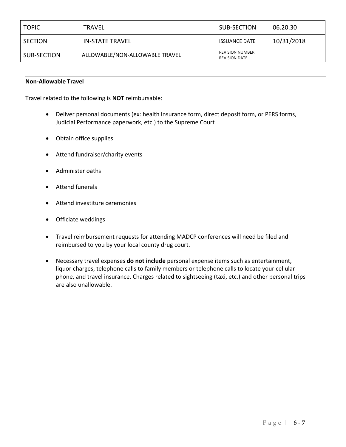| <b>TOPIC</b> | TRAVEL                         | SUB-SECTION                                    | 06.20.30   |
|--------------|--------------------------------|------------------------------------------------|------------|
| SECTION      | <b>IN-STATE TRAVEL</b>         | <b>ISSUANCE DATE</b>                           | 10/31/2018 |
| SUB-SECTION  | ALLOWABLE/NON-ALLOWABLE TRAVEL | <b>REVISION NUMBER</b><br><b>REVISION DATE</b> |            |

#### **Non-Allowable Travel**

Travel related to the following is **NOT** reimbursable:

- Deliver personal documents (ex: health insurance form, direct deposit form, or PERS forms, Judicial Performance paperwork, etc.) to the Supreme Court
- Obtain office supplies
- Attend fundraiser/charity events
- Administer oaths
- Attend funerals
- Attend investiture ceremonies
- Officiate weddings
- Travel reimbursement requests for attending MADCP conferences will need be filed and reimbursed to you by your local county drug court.
- Necessary travel expenses **do not include** personal expense items such as entertainment, liquor charges, telephone calls to family members or telephone calls to locate your cellular phone, and travel insurance. Charges related to sightseeing (taxi, etc.) and other personal trips are also unallowable.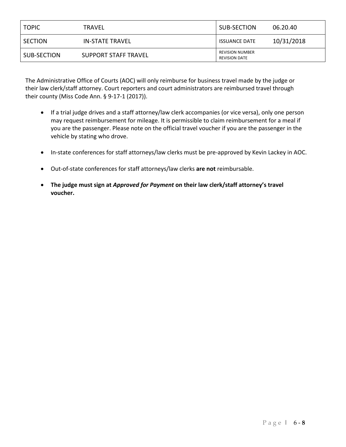| <b>TOPIC</b> | TRAVEL               | SUB-SECTION                             | 06.20.40   |
|--------------|----------------------|-----------------------------------------|------------|
| SECTION      | IN-STATE TRAVEL      | <b>ISSUANCE DATE</b>                    | 10/31/2018 |
| SUB-SECTION  | SUPPORT STAFF TRAVEL | REVISION NUMBER<br><b>REVISION DATE</b> |            |

The Administrative Office of Courts (AOC) will only reimburse for business travel made by the judge or their law clerk/staff attorney. Court reporters and court administrators are reimbursed travel through their county (Miss Code Ann. § 9-17-1 (2017)).

- If a trial judge drives and a staff attorney/law clerk accompanies (or vice versa), only one person may request reimbursement for mileage. It is permissible to claim reimbursement for a meal if you are the passenger. Please note on the official travel voucher if you are the passenger in the vehicle by stating who drove.
- In-state conferences for staff attorneys/law clerks must be pre-approved by Kevin Lackey in AOC.
- Out-of-state conferences for staff attorneys/law clerks **are not** reimbursable.
- **The judge must sign at** *Approved for Payment* **on their law clerk/staff attorney's travel voucher.**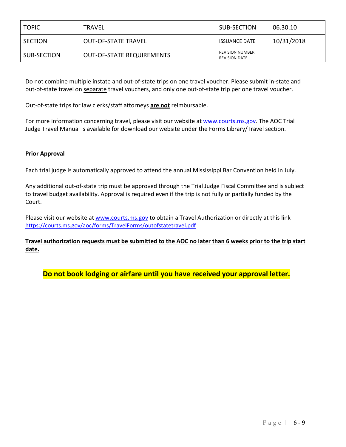| <b>TOPIC</b>   | TRAVEL                           | SUB-SECTION                                    | 06.30.10   |
|----------------|----------------------------------|------------------------------------------------|------------|
| <b>SECTION</b> | <b>OUT-OF-STATE TRAVEL</b>       | <b>ISSUANCE DATE</b>                           | 10/31/2018 |
| SUB-SECTION    | <b>OUT-OF-STATE REQUIREMENTS</b> | <b>REVISION NUMBER</b><br><b>REVISION DATE</b> |            |

Do not combine multiple instate and out-of-state trips on one travel voucher. Please submit in-state and out-of-state travel on separate travel vouchers, and only one out-of-state trip per one travel voucher.

Out-of-state trips for law clerks/staff attorneys **are not** reimbursable.

For more information concerning travel, please visit our website a[t www.courts.ms.gov.](http://www.courts.ms.gov/) The AOC Trial Judge Travel Manual is available for download our website under the Forms Library/Travel section.

## **Prior Approval**

Each trial judge is automatically approved to attend the annual Mississippi Bar Convention held in July.

Any additional out-of-state trip must be approved through the Trial Judge Fiscal Committee and is subject to travel budget availability. Approval is required even if the trip is not fully or partially funded by the Court.

Please visit our website at www.courts.ms.gov to obtain a Travel Authorization or directly at this link <https://courts.ms.gov/aoc/forms/TravelForms/outofstatetravel.pdf> .

**Travel authorization requests must be submitted to the AOC no later than 6 weeks prior to the trip start date.**

**Do not book lodging or airfare until you have received your approval letter.**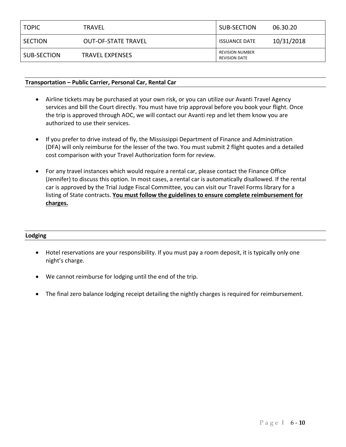| <b>TOPIC</b> | TRAVEL                     | SUB-SECTION                             | 06.30.20   |
|--------------|----------------------------|-----------------------------------------|------------|
| SECTION      | <b>OUT-OF-STATE TRAVEL</b> | <b>ISSUANCE DATE</b>                    | 10/31/2018 |
| SUB-SECTION  | <b>TRAVEL EXPENSES</b>     | REVISION NUMBER<br><b>REVISION DATE</b> |            |

## **Transportation – Public Carrier, Personal Car, Rental Car**

- Airline tickets may be purchased at your own risk, or you can utilize our Avanti Travel Agency services and bill the Court directly. You must have trip approval before you book your flight. Once the trip is approved through AOC, we will contact our Avanti rep and let them know you are authorized to use their services.
- If you prefer to drive instead of fly, the Mississippi Department of Finance and Administration (DFA) will only reimburse for the lesser of the two. You must submit 2 flight quotes and a detailed cost comparison with your Travel Authorization form for review.
- For any travel instances which would require a rental car, please contact the Finance Office (Jennifer) to discuss this option. In most cases, a rental car is automatically disallowed. If the rental car is approved by the Trial Judge Fiscal Committee, you can visit our Travel Forms library for a listing of State contracts. **You must follow the guidelines to ensure complete reimbursement for charges.**

#### **Lodging**

- Hotel reservations are your responsibility. If you must pay a room deposit, it is typically only one night's charge.
- We cannot reimburse for lodging until the end of the trip.
- The final zero balance lodging receipt detailing the nightly charges is required for reimbursement.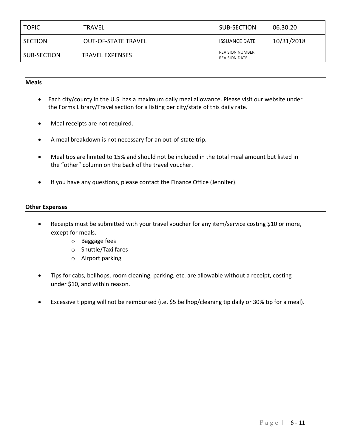| <b>TOPIC</b> | <b>TRAVEL</b>              | SUB-SECTION                                    | 06.30.20   |
|--------------|----------------------------|------------------------------------------------|------------|
| SECTION      | <b>OUT-OF-STATE TRAVEL</b> | <b>ISSUANCE DATE</b>                           | 10/31/2018 |
| SUB-SECTION  | <b>TRAVEL EXPENSES</b>     | <b>REVISION NUMBER</b><br><b>REVISION DATE</b> |            |

#### **Meals**

- Each city/county in the U.S. has a maximum daily meal allowance. Please visit our website under the Forms Library/Travel section for a listing per city/state of this daily rate.
- Meal receipts are not required.
- A meal breakdown is not necessary for an out-of-state trip.
- Meal tips are limited to 15% and should not be included in the total meal amount but listed in the "other" column on the back of the travel voucher.
- If you have any questions, please contact the Finance Office (Jennifer).

#### **Other Expenses**

- Receipts must be submitted with your travel voucher for any item/service costing \$10 or more, except for meals.
	- o Baggage fees
	- o Shuttle/Taxi fares
	- o Airport parking
- Tips for cabs, bellhops, room cleaning, parking, etc. are allowable without a receipt, costing under \$10, and within reason.
- Excessive tipping will not be reimbursed (i.e. \$5 bellhop/cleaning tip daily or 30% tip for a meal).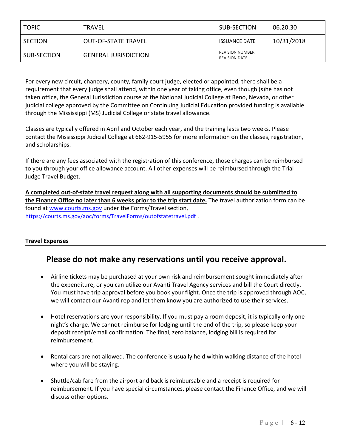| <b>TOPIC</b> | TRAVEL                      | SUB-SECTION                                    | 06.20.30   |
|--------------|-----------------------------|------------------------------------------------|------------|
| SECTION      | <b>OUT-OF-STATE TRAVEL</b>  | <b>ISSUANCE DATE</b>                           | 10/31/2018 |
| SUB-SECTION  | <b>GENERAL JURISDICTION</b> | <b>REVISION NUMBER</b><br><b>REVISION DATE</b> |            |

For every new circuit, chancery, county, family court judge, elected or appointed, there shall be a requirement that every judge shall attend, within one year of taking office, even though (s)he has not taken office, the General Jurisdiction course at the National Judicial College at Reno, Nevada, or other judicial college approved by the Committee on Continuing Judicial Education provided funding is available through the Mississippi (MS) Judicial College or state travel allowance.

Classes are typically offered in April and October each year, and the training lasts two weeks. Please contact the Mississippi Judicial College at 662-915-5955 for more information on the classes, registration, and scholarships.

If there are any fees associated with the registration of this conference, those charges can be reimbursed to you through your office allowance account. All other expenses will be reimbursed through the Trial Judge Travel Budget.

**A completed out-of-state travel request along with all supporting documents should be submitted to the Finance Office no later than 6 weeks prior to the trip start date.** The travel authorization form can be found at [www.courts.ms.gov](http://www.courts.ms.gov/) under the Forms/Travel section, <https://courts.ms.gov/aoc/forms/TravelForms/outofstatetravel.pdf> .

# **Travel Expenses**

# **Please do not make any reservations until you receive approval.**

- Airline tickets may be purchased at your own risk and reimbursement sought immediately after the expenditure, or you can utilize our Avanti Travel Agency services and bill the Court directly. You must have trip approval before you book your flight. Once the trip is approved through AOC, we will contact our Avanti rep and let them know you are authorized to use their services.
- Hotel reservations are your responsibility. If you must pay a room deposit, it is typically only one night's charge. We cannot reimburse for lodging until the end of the trip, so please keep your deposit receipt/email confirmation. The final, zero balance, lodging bill is required for reimbursement.
- Rental cars are not allowed. The conference is usually held within walking distance of the hotel where you will be staying.
- Shuttle/cab fare from the airport and back is reimbursable and a receipt is required for reimbursement. If you have special circumstances, please contact the Finance Office, and we will discuss other options.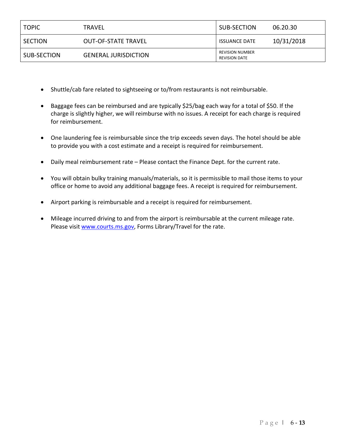| <b>TOPIC</b> | TRAVEL                      | SUB-SECTION                                    | 06.20.30   |
|--------------|-----------------------------|------------------------------------------------|------------|
| SECTION      | <b>OUT-OF-STATE TRAVEL</b>  | <b>ISSUANCE DATE</b>                           | 10/31/2018 |
| SUB-SECTION  | <b>GENERAL JURISDICTION</b> | <b>REVISION NUMBER</b><br><b>REVISION DATE</b> |            |

- Shuttle/cab fare related to sightseeing or to/from restaurants is not reimbursable.
- Baggage fees can be reimbursed and are typically \$25/bag each way for a total of \$50. If the charge is slightly higher, we will reimburse with no issues. A receipt for each charge is required for reimbursement.
- One laundering fee is reimbursable since the trip exceeds seven days. The hotel should be able to provide you with a cost estimate and a receipt is required for reimbursement.
- Daily meal reimbursement rate Please contact the Finance Dept. for the current rate.
- You will obtain bulky training manuals/materials, so it is permissible to mail those items to your office or home to avoid any additional baggage fees. A receipt is required for reimbursement.
- Airport parking is reimbursable and a receipt is required for reimbursement.
- Mileage incurred driving to and from the airport is reimbursable at the current mileage rate. Please visit [www.courts.ms.gov,](http://www.courts.ms.gov/) Forms Library/Travel for the rate.